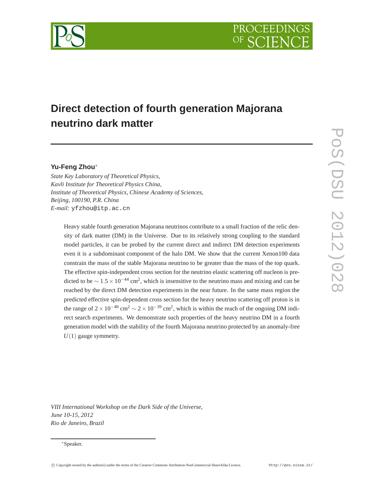

## **Direct detection of fourth generation Majorana neutrino dark matter**

## **Yu-Feng Zhou**∗

*State Key Laboratory of Theoretical Physics, Kavli Institute for Theoretical Physics China, Institute of Theoretical Physics, Chinese Academy of Sciences, Beijing, 100190, P.R. China E-mail:* yfzhou@itp.ac.cn

Heavy stable fourth generation Majorana neutrinos contribute to a small fraction of the relic density of dark matter (DM) in the Universe. Due to its relatively strong coupling to the standard model particles, it can be probed by the current direct and indirect DM detection experiments even it is a subdominant component of the halo DM. We show that the current Xenon100 data constrain the mass of the stable Majorana neutrino to be greater than the mass of the top quark. The effective spin-independent cross section for the neutrino elastic scattering off nucleon is predicted to be  $\sim 1.5 \times 10^{-44}$  cm<sup>2</sup>, which is insensitive to the neutrino mass and mixing and can be reached by the direct DM detection experiments in the near future. In the same mass region the predicted effective spin-dependent cross section for the heavy neutrino scattering off proton is in the range of  $2 \times 10^{-40}$  cm<sup>2</sup>  $\sim 2 \times 10^{-39}$  cm<sup>2</sup>, which is within the reach of the ongoing DM indirect search experiments. We demonstrate such properties of the heavy neutrino DM in a fourth generation model with the stability of the fourth Majorana neutrino protected by an anomaly-free *U*(1) gauge symmetry.

*VIII International Workshop on the Dark Side of the Universe, June 10-15, 2012 Rio de Janeiro, Brazil*

<sup>∗</sup>Speaker.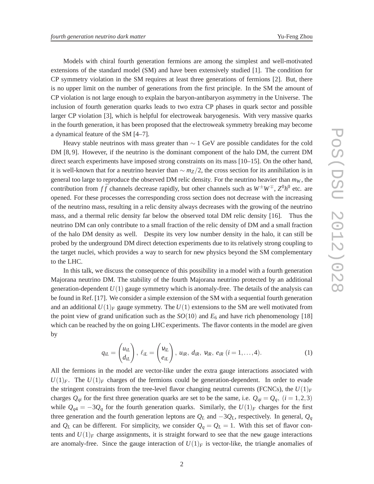Models with chiral fourth generation fermions are among the simplest and well-motivated extensions of the standard model (SM) and have been extensively studied [1]. The condition for CP symmetry violation in the SM requires at least three generations of fermions [2]. But, there is no upper limit on the number of generations from the first principle. In the SM the amount of CP violation is not large enough to explain the baryon-antibaryon asymmetry in the Universe. The inclusion of fourth generation quarks leads to two extra CP phases in quark sector and possible larger CP violation [3], which is helpful for electroweak baryogenesis. With very massive quarks in the fourth generation, it has been proposed that the electroweak symmetry breaking may become a dynamical feature of the SM [4–7].

Heavy stable neutrinos with mass greater than  $\sim 1$  GeV are possible candidates for the cold DM [8, 9]. However, if the neutrino is the dominant component of the halo DM, the current DM direct search experiments have imposed strong constraints on its mass [10–15]. On the other hand, it is well-known that for a neutrino heavier than  $\sim$  *m*<sub>Z</sub>/2, the cross section for its annihilation is in general too large to reproduce the observed DM relic density. For the neutrino heavier than  $m_W$ , the contribution from  $f\bar{f}$  channels decrease rapidly, but other channels such as  $W^{\pm}W^{\mp}$ ,  $Z^{0}h^{0}$  etc. are opened. For these processes the corresponding cross section does not decrease with the increasing of the neutrino mass, resulting in a relic density always decreases with the growing of the neutrino mass, and a thermal relic density far below the observed total DM relic density [16]. Thus the neutrino DM can only contribute to a small fraction of the relic density of DM and a small fraction of the halo DM density as well. Despite its very low number density in the halo, it can still be probed by the underground DM direct detection experiments due to its relatively strong coupling to the target nuclei, which provides a way to search for new physics beyond the SM complementary to the LHC.

In this talk, we discuss the consequence of this possibility in a model with a fourth generation Majorana neutrino DM. The stability of the fourth Majorana neutrino protected by an additional generation-dependent  $U(1)$  gauge symmetry which is anomaly-free. The details of the analysis can be found in Ref. [17]. We consider a simple extension of the SM with a sequential fourth generation and an additional  $U(1)_F$  gauge symmetry. The  $U(1)$  extensions to the SM are well motivated from the point view of grand unification such as the  $SO(10)$  and  $E_6$  and have rich phenomenology [18] which can be reached by the on going LHC experiments. The flavor contents in the model are given by

$$
q_{iL} = \begin{pmatrix} u_{iL} \\ d_{iL} \end{pmatrix}, \, \ell_{iL} = \begin{pmatrix} v_{iL} \\ e_{iL} \end{pmatrix}, \, u_{iR}, \, d_{iR}, \, v_{iR}, \, e_{iR} \, (i = 1, \dots, 4). \tag{1}
$$

All the fermions in the model are vector-like under the extra gauge interactions associated with  $U(1)_F$ . The  $U(1)_F$  charges of the fermions could be generation-dependent. In order to evade the stringent constraints from the tree-level flavor changing neutral currents (FCNCs), the  $U(1)_F$ charges  $Q_{qi}$  for the first three generation quarks are set to be the same, i.e.  $Q_{qi} = Q_q$ , (*i* = 1,2,3) while  $Q_{q4} = -3Q_q$  for the fourth generation quarks. Similarly, the  $U(1)_F$  charges for the first three generation and the fourth generation leptons are  $Q_L$  and  $-3Q_L$ , respectively. In general,  $Q_q$ and  $Q_L$  can be different. For simplicity, we consider  $Q_q = Q_L = 1$ . With this set of flavor contents and  $U(1)<sub>F</sub>$  charge assignments, it is straight forward to see that the new gauge interactions are anomaly-free. Since the gauge interaction of  $U(1)_F$  is vector-like, the triangle anomalies of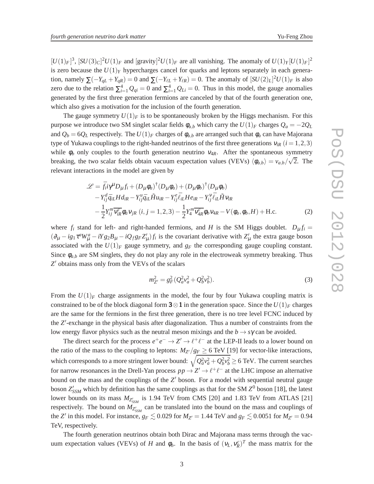$[U(1)_F]^3$ ,  $[SU(3)_C]^2U(1)_F$  and  $[grawity]^2U(1)_F$  are all vanishing. The anomaly of  $U(1)_Y[U(1)_F]^2$ is zero because the  $U(1)_Y$  hypercharges cancel for quarks and leptons separately in each generation, namely  $\sum (-Y_{qL} + Y_{qR}) = 0$  and  $\sum (-Y_{\ell L} + Y_{\ell R}) = 0$ . The anomaly of  $[SU(2)_L]^2 U(1)_F$  is also zero due to the relation  $\sum_{i=1}^{4} Q_{qi} = 0$  and  $\sum_{i=1}^{4} Q_{Li} = 0$ . Thus in this model, the gauge anomalies generated by the first three generation fermions are canceled by that of the fourth generation one, which also gives a motivation for the inclusion of the fourth generation.

The gauge symmetry  $U(1)_F$  is to be spontaneously broken by the Higgs mechanism. For this purpose we introduce two SM singlet scalar fields  $\phi_{a,b}$  which carry the  $U(1)_F$  charges  $Q_a = -2Q_L$ and  $Q_b = 6Q_L$  respectively. The  $U(1)_F$  charges of  $\phi_{a,b}$  are arranged such that  $\phi_a$  can have Majorana type of Yukawa couplings to the right-handed neutrinos of the first three generations  $v_{iR}$  ( $i = 1,2,3$ ) while  $\phi_b$  only couples to the fourth generation neutrino  $v_{4R}$ . After the spontaneous symmetry breaking, the two scalar fields obtain vacuum expectation values (VEVs)  $\langle \phi_{a,b} \rangle = v_{a,b}/\sqrt{2}$ . The relevant interactions in the model are given by

$$
\mathcal{L} = \bar{f}_i i \gamma^{\mu} D_{\mu} f_i + (D_{\mu} \phi_a)^{\dagger} (D_{\mu} \phi_a) + (D_{\mu} \phi_b)^{\dagger} (D_{\mu} \phi_b) - Y_{ij}^{d} \bar{q}_{iL} H d_{iR} - Y_{ij}^{u} \bar{q}_{iL} \tilde{H} u_{iR} - Y_{ij}^{e} \bar{\ell}_{iL} H e_{iR} - Y_{ij}^{v} \bar{\ell}_{iL} \tilde{H} v_{iR} - \frac{1}{2} Y_{ij}^{m} \overline{v_{iR}} \phi_a v_{jR} \ (i, j = 1, 2, 3) - \frac{1}{2} Y_{4}^{m} \overline{v_{4R}} \phi_b v_{4R} - V(\phi_a, \phi_b, H) + \text{H.c.}
$$
 (2)

where  $f_i$  stand for left- and right-handed fermions, and *H* is the SM Higgs doublet.  $D_\mu f_i =$  $(\partial_\mu - ig_1 \tau^a W^a_\mu - iY g_2 B_\mu - iQ_f g_F Z^f_\mu) f_i$  is the covariant derivative with  $Z^f_\mu$  the extra gauge boson associated with the  $U(1)_F$  gauge symmetry, and  $g_F$  the corresponding gauge coupling constant. Since  $\phi_{a,b}$  are SM singlets, they do not play any role in the electroweak symmetry breaking. Thus *Z* ′ obtains mass only from the VEVs of the scalars

$$
m_{Z'}^2 = g_F^2 (Q_a^2 v_a^2 + Q_b^2 v_b^2). \tag{3}
$$

From the  $U(1)_F$  charge assignments in the model, the four by four Yukawa coupling matrix is constrained to be of the block diagonal form  $3 \otimes 1$  in the generation space. Since the  $U(1)<sub>F</sub>$  charges are the same for the fermions in the first three generation, there is no tree level FCNC induced by the *Z* ′ -exchange in the physical basis after diagonalization. Thus a number of constraints from the low energy flavor physics such as the neutral meson mixings and the  $b \rightarrow s\gamma$  can be avoided.

The direct search for the process  $e^+e^- \to Z' \to \ell^+\ell^-$  at the LEP-II leads to a lower bound on the ratio of the mass to the coupling to leptons:  $M_{Z'}/g_F \ge 6$  TeV [19] for vector-like interactions, which corresponds to a more stringent lower bound:  $\sqrt{Q_a^2 v_a^2 + Q_b^2 v_b^2} \ge 6$  TeV. The current searches for narrow resonances in the Drell-Yan process  $pp \to Z' \to \ell^+ \ell^-$  at the LHC impose an alternative bound on the mass and the couplings of the *Z'* boson. For a model with sequential neutral gauge boson  $Z'_{SSM}$  which by definition has the same couplings as that for the SM  $Z^0$  boson [18], the latest lower bounds on its mass  $M_{Z'_{SSM}}$  is 1.94 TeV from CMS [20] and 1.83 TeV from ATLAS [21] respectively. The bound on  $M_{Z'_{SSM}}$  can be translated into the bound on the mass and couplings of the *Z'* in this model. For instance,  $g_F \lesssim 0.029$  for  $M_{Z'} = 1.44$  TeV and  $g_F \lesssim 0.0051$  for  $M_{Z'} = 0.94$ TeV, respectively.

The fourth generation neutrinos obtain both Dirac and Majorana mass terms through the vacuum expectation values (VEVs) of *H* and  $\phi_b$ . In the basis of  $(v_L, v_R^c)^T$  the mass matrix for the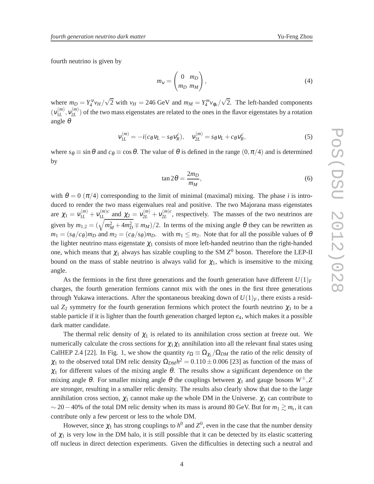fourth neutrino is given by

$$
m_V = \begin{pmatrix} 0 & m_D \\ m_D & m_M \end{pmatrix},\tag{4}
$$

where  $m_D = Y_4^V v_H / \sqrt{2}$  with  $v_H = 246$  GeV and  $m_M = Y_4^m v_{\phi_b} / \sqrt{2}$ . The left-handed components  $(v_{1L}^{(m)}$  $\mathcal{N}_{1L}^{(m)}, \mathcal{V}_{2L}^{(m)}$  $2L^{(m)}$ ) of the two mass eigenstates are related to the ones in the flavor eigenstates by a rotation angle θ

$$
\mathbf{v}_{1L}^{(m)} = -i(c_{\theta}\mathbf{v}_L - s_{\theta}\mathbf{v}_R^c), \quad \mathbf{v}_{2L}^{(m)} = s_{\theta}\mathbf{v}_L + c_{\theta}\mathbf{v}_R^c,\tag{5}
$$

where  $s_{\theta} \equiv \sin \theta$  and  $c_{\theta} \equiv \cos \theta$ . The value of  $\theta$  is defined in the range  $(0, \pi/4)$  and is determined by

$$
\tan 2\theta = \frac{2m_D}{m_M},\tag{6}
$$

with  $\theta = 0 \ (\pi/4)$  corresponding to the limit of minimal (maximal) mixing. The phase *i* is introduced to render the two mass eigenvalues real and positive. The two Majorana mass eigenstates are  $\chi_1 = v_{1L}^{(m)} + v_{1L}^{(m)c}$  $y_{1L}^{(m)c}$  and  $\chi_2 = v_{2L}^{(m)} + v_{2L}^{(m)c}$  $2L^{(m)c}$ , respectively. The masses of the two neutrinos are given by  $m_{1,2} = (\sqrt{m_M^2 + 4m_D^2} \mp m_M)/2$ . In terms of the mixing angle  $\theta$  they can be rewritten as  $m_1 = (s_{\theta}/c_{\theta})m_D$  and  $m_2 = (c_{\theta}/s_{\theta})m_D$ . with  $m_1 \leq m_2$ . Note that for all the possible values of  $\theta$ the lighter neutrino mass eigenstate  $\chi_1$  consists of more left-handed neutrino than the right-handed one, which means that  $\chi_1$  always has sizable coupling to the SM  $Z^0$  boson. Therefore the LEP-II bound on the mass of stable neutrino is always valid for  $\chi_1$ , which is insensitive to the mixing angle.

As the fermions in the first three generations and the fourth generation have different  $U(1)_F$ charges, the fourth generation fermions cannot mix with the ones in the first three generations through Yukawa interactions. After the spontaneous breaking down of  $U(1)_F$ , there exists a residual  $Z_2$  symmetry for the fourth generation fermions which protect the fourth neutrino  $\chi_1$  to be a stable particle if it is lighter than the fourth generation charged lepton *e*4, which makes it a possible dark matter candidate.

The thermal relic density of  $\chi_1$  is related to its annihilation cross section at freeze out. We numerically calculate the cross sections for  $\chi_1 \chi_1$  annihilation into all the relevant final states using CalHEP 2.4 [22]. In Fig. 1, we show the quantity  $r_{\Omega} \equiv \Omega_{\chi_1} / \Omega_{DM}$  the ratio of the relic density of  $\chi_1$  to the observed total DM relic density  $\Omega_{DM}h^2 = 0.110 \pm 0.006$  [23] as function of the mass of  $\chi_1$  for different values of the mixing angle  $\theta$ . The results show a significant dependence on the mixing angle  $\theta$ . For smaller mixing angle  $\theta$  the couplings between  $\chi_1$  and gauge bosons  $W^{\pm}$ , Z are stronger, resulting in a smaller relic density. The results also clearly show that due to the large annihilation cross section,  $\chi_1$  cannot make up the whole DM in the Universe.  $\chi_1$  can contribute to  $\sim$  20 – 40% of the total DM relic density when its mass is around 80 GeV. But for  $m_1 \gtrsim m_t$ , it can contribute only a few percent or less to the whole DM.

However, since  $\chi_1$  has strong couplings to  $h^0$  and  $Z^0$ , even in the case that the number density of  $\chi_1$  is very low in the DM halo, it is still possible that it can be detected by its elastic scattering off nucleus in direct detection experiments. Given the difficulties in detecting such a neutral and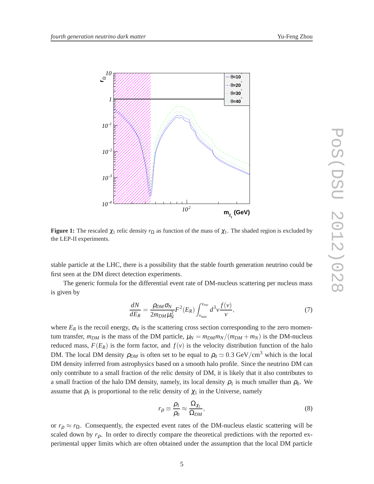

**Figure 1:** The rescaled  $\chi_1$  relic density  $r_{\Omega}$  as function of the mass of  $\chi_1$ . The shaded region is excluded by the LEP-II experiments.

stable particle at the LHC, there is a possibility that the stable fourth generation neutrino could be first seen at the DM direct detection experiments.

The generic formula for the differential event rate of DM-nucleus scattering per nucleus mass is given by

$$
\frac{dN}{dE_R} = \frac{\rho_{DM}\sigma_N}{2m_{DM}\mu_N^2} F^2(E_R) \int_{v_{min}}^{v_{esc}} d^3 v \frac{f(v)}{v},\tag{7}
$$

where  $E_R$  is the recoil energy,  $\sigma_N$  is the scattering cross section corresponding to the zero momentum transfer,  $m_{DM}$  is the mass of the DM particle,  $\mu_N = m_{DM} m_N/(m_{DM} + m_N)$  is the DM-nucleus reduced mass,  $F(E_R)$  is the form factor, and  $f(v)$  is the velocity distribution function of the halo DM. The local DM density  $\rho_{DM}$  is often set to be equal to  $\rho_0 \simeq 0.3 \text{ GeV}/\text{cm}^3$  which is the local DM density inferred from astrophysics based on a smooth halo profile. Since the neutrino DM can only contribute to a small fraction of the relic density of DM, it is likely that it also contributes to a small fraction of the halo DM density, namely, its local density  $\rho_1$  is much smaller than  $\rho_0$ . We assume that  $\rho_1$  is proportional to the relic density of  $\chi_1$  in the Universe, namely

$$
r_{\rho} \equiv \frac{\rho_1}{\rho_0} \approx \frac{\Omega_{\chi_1}}{\Omega_{DM}},\tag{8}
$$

or  $r_p \approx r_\Omega$ . Consequently, the expected event rates of the DM-nucleus elastic scattering will be scaled down by  $r_p$ . In order to directly compare the theoretical predictions with the reported experimental upper limits which are often obtained under the assumption that the local DM particle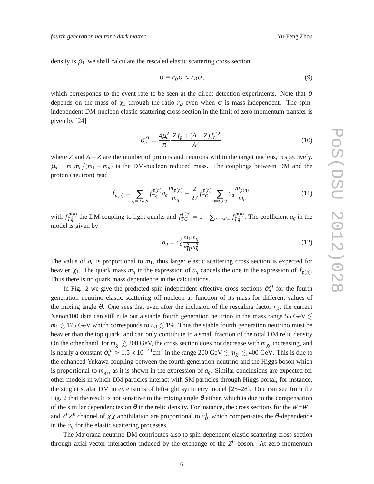density is  $\rho_0$ , we shall calculate the rescaled elastic scattering cross section

$$
\tilde{\sigma} \equiv r_{\rho} \sigma \approx r_{\Omega} \sigma, \tag{9}
$$

which corresponds to the event rate to be seen at the direct detection experiments. Note that  $\tilde{\sigma}$ depends on the mass of  $\chi_1$  through the ratio  $r_\rho$  even when  $\sigma$  is mass-independent. The spinindependent DM-nucleon elastic scattering cross section in the limit of zero momentum transfer is given by [24]

$$
\sigma_n^{SI} = \frac{4\mu_n^2}{\pi} \frac{[Zf_p + (A - Z)f_n]^2}{A^2},\tag{10}
$$

where *Z* and  $A$  − *Z* are the number of protons and neutrons within the target nucleus, respectively.  $\mu_n = m_1 m_n/(m_1 + m_n)$  is the DM-nucleon reduced mass. The couplings between DM and the proton (neutron) read

$$
f_{p(n)} = \sum_{q=u,d,s} f_{Tq}^{p(n)} a_q \frac{m_{p(n)}}{m_q} + \frac{2}{27} f_{TG}^{p(n)} \sum_{q=c,b,t} a_q \frac{m_{p(n)}}{m_q},\tag{11}
$$

with  $f_{Tq}^{p(n)}$  the DM coupling to light quarks and  $f_{TG}^{p(n)} = 1 - \sum_{q=u,d,s} f_{Tq}^{p(n)}$ . The coefficient  $a_q$  in the model is given by

$$
a_q = c_\theta^2 \frac{m_1 m_q}{v_H^2 m_h^2}.\tag{12}
$$

The value of  $a_q$  is proportional to  $m_1$ , thus larger elastic scattering cross section is expected for heavier  $\chi_1$ . The quark mass  $m_q$  in the expression of  $a_q$  cancels the one in the expression of  $f_{p(n)}$ . Thus there is no quark mass dependence in the calculations.

In Fig. 2 we give the predicted spin-independent effective cross sections  $\tilde{\sigma}_n^{SI}$  for the fourth generation neutrino elastic scattering off nucleon as function of its mass for different values of the mixing angle  $\theta$ . One sees that even after the inclusion of the rescaling factor  $r_{\rho}$ , the current Xenon100 data can still rule out a stable fourth generation neutrino in the mass range 55 GeV  $\lesssim$  $m_1 \lesssim 175$  GeV which corresponds to  $r_\Omega \lesssim 1\%$ . Thus the stable fourth generation neutrino must be heavier than the top quark, and can only contribute to a small fraction of the total DM relic density On the other hand, for  $m_{\chi_1} \gtrsim 200$  GeV, the cross section does not decrease with  $m_{\chi_1}$  increasing, and is nearly a constant  $\tilde{\sigma}_n^{SI} \approx 1.5 \times 10^{-44} \text{cm}^2$  in the range 200 GeV  $\lesssim m_{\chi_1} \lesssim 400$  GeV. This is due to the enhanced Yukawa coupling between the fourth generation neutrino and the Higgs boson which is proportional to  $m_{\chi_1}$ , as it is shown in the expression of  $a_q$ . Similar conclusions are expected for other models in which DM particles interact with SM particles through Higgs portal, for instance, the singlet scalar DM in extensions of left-right symmetry model [25–28]. One can see from the Fig. 2 that the result is not sensitive to the mixing angle  $\theta$  either, which is due to the compensation of the similar dependencies on  $\theta$  in the relic density. For instance, the cross sections for the  $W^{\pm}W^{\mp}$ and  $Z^0Z^0$  channel of  $\chi\chi$  annihilation are proportional to  $c^4_\theta$ , which compensates the  $\theta$ -dependence in the  $a_q$  for the elastic scattering processes.

The Majorana neutrino DM contributes also to spin-dependent elastic scattering cross section through axial-vector interaction induced by the exchange of the  $Z^0$  boson. At zero momentum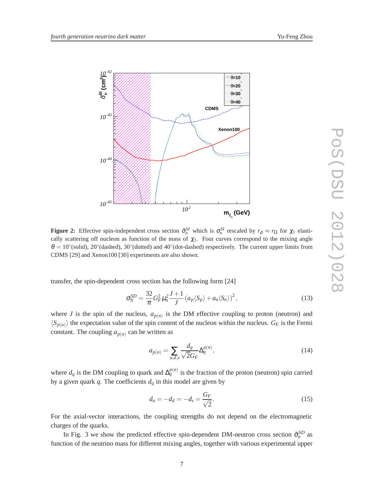

**Figure 2:** Effective spin-independent cross section  $\tilde{\sigma}_n^{SI}$  which is  $\sigma_n^{SI}$  rescaled by  $r_\rho \approx r_\Omega$  for  $\chi_1$  elastically scattering off nucleon as function of the mass of  $\chi_1$ . Four curves correspond to the mixing angle  $\theta = 10°$ (solid), 20°(dashed), 30°(dotted) and 40°(dot-dashed) respectively. The current upper limits from CDMS [29] and Xenon100 [30] experiments are also shown.

transfer, the spin-dependent cross section has the following form [24]

$$
\sigma_N^{SD} = \frac{32}{\pi} G_F^2 \mu_n^2 \frac{J+1}{J} \left( a_p \langle S_p \rangle + a_n \langle S_n \rangle \right)^2, \tag{13}
$$

where *J* is the spin of the nucleus,  $a_{p(n)}$  is the DM effective coupling to proton (neutron) and  $\langle S_{p(n)} \rangle$  the expectation value of the spin content of the nucleon within the nucleus.  $G_F$  is the Fermi constant. The coupling  $a_{p(n)}$  can be written as

$$
a_{p(n)} = \sum_{u,d,s} \frac{d_q}{\sqrt{2}G_F} \Delta_q^{p(n)},\tag{14}
$$

where  $d_q$  is the DM coupling to quark and  $\Delta_q^{p(n)}$  is the fraction of the proton (neutron) spin carried by a given quark  $q$ . The coefficients  $d_q$  in this model are given by

$$
d_u = -d_d = -d_s = \frac{G_F}{\sqrt{2}}.
$$
\n(15)

For the axial-vector interactions, the coupling strengths do not depend on the electromagnetic charges of the quarks.

In Fig. 3 we show the predicted effective spin-dependent DM-neutron cross section  $\tilde{\sigma}_n^{SD}$  as function of the neutrino mass for different mixing angles, together with various experimental upper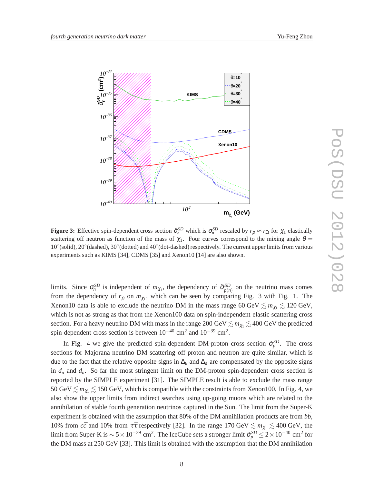

**Figure 3:** Effective spin-dependent cross section  $\tilde{\sigma}_n^{SD}$  which is  $\sigma_n^{SD}$  rescaled by  $r_\rho \approx r_\Omega$  for  $\chi_1$  elastically scattering off neutron as function of the mass of  $\chi_1$ . Four curves correspond to the mixing angle  $\theta =$ 10° (solid), 20° (dashed), 30° (dotted) and 40° (dot-dashed) respectively. The current upper limits from various experiments such as KIMS [34], CDMS [35] and Xenon10 [14] are also shown.

limits. Since  $\sigma_n^{SD}$  is independent of  $m_{\chi_1}$ , the dependency of  $\tilde{\sigma}_{p(n)}^{SD}$  on the neutrino mass comes from the dependency of  $r_{\rho}$  on  $m_{\chi_1}$ , which can be seen by comparing Fig. 3 with Fig. 1. The Xenon10 data is able to exclude the neutrino DM in the mass range 60 GeV  $\lesssim m_{\gamma_1} \lesssim 120$  GeV, which is not as strong as that from the Xenon100 data on spin-independent elastic scattering cross section. For a heavy neutrino DM with mass in the range 200 GeV  $\lesssim m_{\chi_1} \lesssim 400$  GeV the predicted spin-dependent cross section is between  $10^{-40}$  cm<sup>2</sup> and  $10^{-39}$  cm<sup>2</sup>.

In Fig. 4 we give the predicted spin-dependent DM-proton cross section  $\tilde{\sigma}_p^{SD}$ . The cross sections for Majorana neutrino DM scattering off proton and neutron are quite similar, which is due to the fact that the relative opposite signs in  $\Delta_u$  and  $\Delta_d$  are compensated by the opposite signs in  $d_u$  and  $d_n$ . So far the most stringent limit on the DM-proton spin-dependent cross section is reported by the SIMPLE experiment [31]. The SIMPLE result is able to exclude the mass range 50 GeV  $\lesssim m_{\chi_1} \lesssim 150$  GeV, which is compatible with the constraints from Xenon100. In Fig. 4, we also show the upper limits from indirect searches using up-going muons which are related to the annihilation of stable fourth generation neutrinos captured in the Sun. The limit from the Super-K experiment is obtained with the assumption that 80% of the DM annihilation products are from  $b\bar{b}$ , 10% from  $c\bar{c}$  and 10% from  $\tau\bar{\tau}$  respectively [32]. In the range 170 GeV  $\lesssim m_{\chi_1} \lesssim 400$  GeV, the limit from Super-K is  $\sim$  5  $\times$   $10^{-39}$  cm<sup>2</sup>. The IceCube sets a stronger limit  $\tilde{\sigma}_p^{SD} \le 2 \times 10^{-40}$  cm<sup>2</sup> for the DM mass at 250 GeV [33]. This limit is obtained with the assumption that the DM annihilation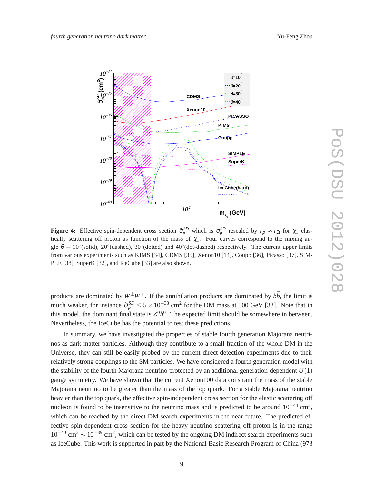

**Figure 4:** Effective spin-dependent cross section  $\tilde{\sigma}_p^{SD}$  which is  $\sigma_p^{SD}$  rescaled by  $r_\rho \approx r_\Omega$  for  $\chi_1$  elastically scattering off proton as function of the mass of  $\chi_1$ . Four curves correspond to the mixing angle  $\theta = 10°$ (solid), 20°(dashed), 30°(dotted) and 40°(dot-dashed) respectively. The current upper limits from various experiments such as KIMS [34], CDMS [35], Xenon10 [14], Coupp [36], Picasso [37], SIM-PLE [38], SuperK [32], and IceCube [33] are also shown.

products are dominated by  $W^{\pm}W^{\mp}$ . If the annihilation products are dominated by  $b\bar{b}$ , the limit is much weaker, for instance  $\tilde{\sigma}_p^{SD} \le 5 \times 10^{-38}$  cm<sup>2</sup> for the DM mass at 500 GeV [33]. Note that in this model, the dominant final state is  $Z^0h^0$ . The expected limit should be somewhere in between. Nevertheless, the IceCube has the potential to test these predictions.

In summary, we have investigated the properties of stable fourth generation Majorana neutrinos as dark matter particles. Although they contribute to a small fraction of the whole DM in the Universe, they can still be easily probed by the current direct detection experiments due to their relatively strong couplings to the SM particles. We have considered a fourth generation model with the stability of the fourth Majorana neutrino protected by an additional generation-dependent  $U(1)$ gauge symmetry. We have shown that the current Xenon100 data constrain the mass of the stable Majorana neutrino to be greater than the mass of the top quark. For a stable Majorana neutrino heavier than the top quark, the effective spin-independent cross section for the elastic scattering off nucleon is found to be insensitive to the neutrino mass and is predicted to be around  $10^{-44}$  cm<sup>2</sup>, which can be reached by the direct DM search experiments in the near future. The predicted effective spin-dependent cross section for the heavy neutrino scattering off proton is in the range  $10^{-40}$  cm<sup>2</sup>  $\sim 10^{-39}$  cm<sup>2</sup>, which can be tested by the ongoing DM indirect search experiments such as IceCube. This work is supported in part by the National Basic Research Program of China (973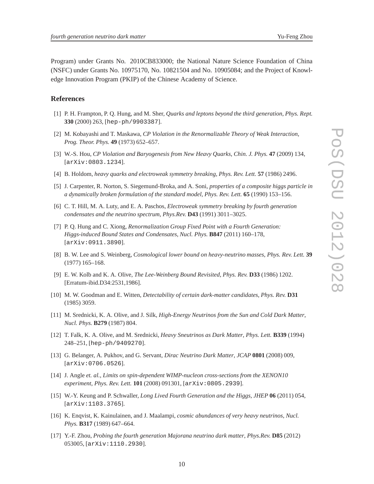Program) under Grants No. 2010CB833000; the National Nature Science Foundation of China (NSFC) under Grants No. 10975170, No. 10821504 and No. 10905084; and the Project of Knowledge Innovation Program (PKIP) of the Chinese Academy of Science.

## **References**

- [1] P. H. Frampton, P. Q. Hung, and M. Sher, *Quarks and leptons beyond the third generation*, *Phys. Rept.* **330** (2000) 263, [hep-ph/9903387].
- [2] M. Kobayashi and T. Maskawa, *CP Violation in the Renormalizable Theory of Weak Interaction*, *Prog. Theor. Phys.* **49** (1973) 652–657.
- [3] W.-S. Hou, *CP Violation and Baryogenesis from New Heavy Quarks*, *Chin. J. Phys.* **47** (2009) 134, [arXiv:0803.1234].
- [4] B. Holdom, *heavy quarks and electroweak symmetry breaking*, *Phys. Rev. Lett.* **57** (1986) 2496.
- [5] J. Carpenter, R. Norton, S. Siegemund-Broka, and A. Soni, *properties of a composite higgs particle in a dynamically broken formulation of the standard model*, *Phys. Rev. Lett.* **65** (1990) 153–156.
- [6] C. T. Hill, M. A. Luty, and E. A. Paschos, *Electroweak symmetry breaking by fourth generation condensates and the neutrino spectrum*, *Phys.Rev.* **D43** (1991) 3011–3025.
- [7] P. Q. Hung and C. Xiong, *Renormalization Group Fixed Point with a Fourth Generation: Higgs-induced Bound States and Condensates*, *Nucl. Phys.* **B847** (2011) 160–178, [arXiv:0911.3890].
- [8] B. W. Lee and S. Weinberg, *Cosmological lower bound on heavy-neutrino masses*, *Phys. Rev. Lett.* **39** (1977) 165–168.
- [9] E. W. Kolb and K. A. Olive, *The Lee-Weinberg Bound Revisited*, *Phys. Rev.* **D33** (1986) 1202. [Erratum-ibid.D34:2531,1986].
- [10] M. W. Goodman and E. Witten, *Detectability of certain dark-matter candidates*, *Phys. Rev.* **D31** (1985) 3059.
- [11] M. Srednicki, K. A. Olive, and J. Silk, *High-Energy Neutrinos from the Sun and Cold Dark Matter*, *Nucl. Phys.* **B279** (1987) 804.
- [12] T. Falk, K. A. Olive, and M. Srednicki, *Heavy Sneutrinos as Dark Matter*, *Phys. Lett.* **B339** (1994) 248–251, [hep-ph/9409270].
- [13] G. Belanger, A. Pukhov, and G. Servant, *Dirac Neutrino Dark Matter*, *JCAP* **0801** (2008) 009, [arXiv:0706.0526].
- [14] J. Angle *et. al.*, *Limits on spin-dependent WIMP-nucleon cross-sections from the XENON10 experiment*, *Phys. Rev. Lett.* **101** (2008) 091301, [arXiv:0805.2939].
- [15] W.-Y. Keung and P. Schwaller, *Long Lived Fourth Generation and the Higgs*, *JHEP* **06** (2011) 054, [arXiv:1103.3765].
- [16] K. Enqvist, K. Kainulainen, and J. Maalampi, *cosmic abundances of very heavy neutrinos*, *Nucl. Phys.* **B317** (1989) 647–664.
- [17] Y.-F. Zhou, *Probing the fourth generation Majorana neutrino dark matter*, *Phys.Rev.* **D85** (2012) 053005, [arXiv:1110.2930].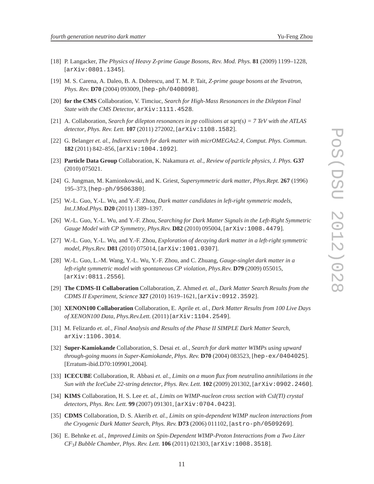- [18] P. Langacker, *The Physics of Heavy Z-prime Gauge Bosons*, *Rev. Mod. Phys.* **81** (2009) 1199–1228, [arXiv:0801.1345].
- [19] M. S. Carena, A. Daleo, B. A. Dobrescu, and T. M. P. Tait, *Z-prime gauge bosons at the Tevatron*, *Phys. Rev.* **D70** (2004) 093009, [hep-ph/0408098].
- [20] **for the CMS** Collaboration, V. Timciuc, *Search for High-Mass Resonances in the Dilepton Final State with the CMS Detector*, arXiv:1111.4528.
- [21] A. Collaboration, *Search for dilepton resonances in pp collisions at sqrt(s) = 7 TeV with the ATLAS detector*, *Phys. Rev. Lett.* **107** (2011) 272002, [arXiv:1108.1582].
- [22] G. Belanger *et. al.*, *Indirect search for dark matter with micrOMEGAs2.4*, *Comput. Phys. Commun.* **182** (2011) 842–856, [arXiv:1004.1092].
- [23] **Particle Data Group** Collaboration, K. Nakamura *et. al.*, *Review of particle physics*, *J. Phys.* **G37** (2010) 075021.
- [24] G. Jungman, M. Kamionkowski, and K. Griest, *Supersymmetric dark matter*, *Phys.Rept.* **267** (1996) 195–373, [hep-ph/9506380].
- [25] W.-L. Guo, Y.-L. Wu, and Y.-F. Zhou, *Dark matter candidates in left-right symmetric models*, *Int.J.Mod.Phys.* **D20** (2011) 1389–1397.
- [26] W.-L. Guo, Y.-L. Wu, and Y.-F. Zhou, *Searching for Dark Matter Signals in the Left-Right Symmetric Gauge Model with CP Symmetry*, *Phys.Rev.* **D82** (2010) 095004, [arXiv:1008.4479].
- [27] W.-L. Guo, Y.-L. Wu, and Y.-F. Zhou, *Exploration of decaying dark matter in a left-right symmetric model*, *Phys.Rev.* **D81** (2010) 075014, [arXiv:1001.0307].
- [28] W.-L. Guo, L.-M. Wang, Y.-L. Wu, Y.-F. Zhou, and C. Zhuang, *Gauge-singlet dark matter in a left-right symmetric model with spontaneous CP violation*, *Phys.Rev.* **D79** (2009) 055015, [arXiv:0811.2556].
- [29] **The CDMS-II Collaboration** Collaboration, Z. Ahmed *et. al.*, *Dark Matter Search Results from the CDMS II Experiment*, *Science* **327** (2010) 1619–1621, [arXiv:0912.3592].
- [30] **XENON100 Collaboration** Collaboration, E. Aprile *et. al.*, *Dark Matter Results from 100 Live Days of XENON100 Data*, *Phys.Rev.Lett.* (2011) [arXiv:1104.2549].
- [31] M. Felizardo *et. al.*, *Final Analysis and Results of the Phase II SIMPLE Dark Matter Search*, arXiv:1106.3014.
- [32] **Super-Kamiokande** Collaboration, S. Desai *et. al.*, *Search for dark matter WIMPs using upward through-going muons in Super-Kamiokande*, *Phys. Rev.* **D70** (2004) 083523, [hep-ex/0404025]. [Erratum-ibid.D70:109901,2004].
- [33] **ICECUBE** Collaboration, R. Abbasi *et. al.*, *Limits on a muon flux from neutralino annihilations in the Sun with the IceCube 22-string detector*, *Phys. Rev. Lett.* **102** (2009) 201302, [arXiv:0902.2460].
- [34] **KIMS** Collaboration, H. S. Lee *et. al.*, *Limits on WIMP-nucleon cross section with CsI(Tl) crystal detectors*, *Phys. Rev. Lett.* **99** (2007) 091301, [arXiv:0704.0423].
- [35] **CDMS** Collaboration, D. S. Akerib *et. al.*, *Limits on spin-dependent WIMP nucleon interactions from the Cryogenic Dark Matter Search*, *Phys. Rev.* **D73** (2006) 011102, [astro-ph/0509269].
- [36] E. Behnke *et. al.*, *Improved Limits on Spin-Dependent WIMP-Proton Interactions from a Two Liter CF*3*I Bubble Chamber*, *Phys. Rev. Lett.* **106** (2011) 021303, [arXiv:1008.3518].